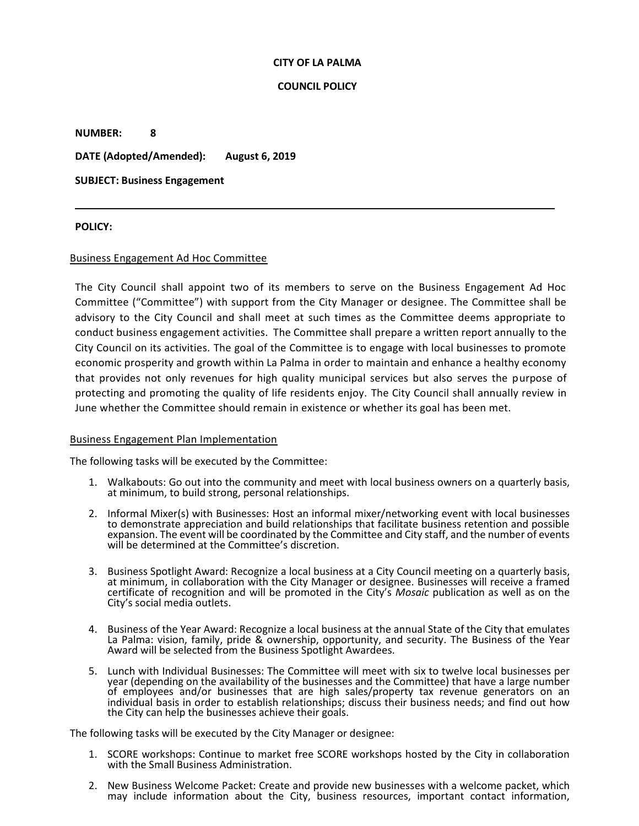### **CITY OF LA PALMA**

### **COUNCIL POLICY**

**NUMBER: 8**

**DATE (Adopted/Amended): August 6, 2019**

**SUBJECT: Business Engagement**

### **POLICY:**

### Business Engagement Ad Hoc Committee

The City Council shall appoint two of its members to serve on the Business Engagement Ad Hoc Committee ("Committee") with support from the City Manager or designee. The Committee shall be advisory to the City Council and shall meet at such times as the Committee deems appropriate to conduct business engagement activities. The Committee shall prepare a written report annually to the City Council on its activities. The goal of the Committee is to engage with local businesses to promote economic prosperity and growth within La Palma in order to maintain and enhance a healthy economy that provides not only revenues for high quality municipal services but also serves the purpose of protecting and promoting the quality of life residents enjoy. The City Council shall annually review in June whether the Committee should remain in existence or whether its goal has been met.

#### Business Engagement Plan Implementation

The following tasks will be executed by the Committee:

- 1. Walkabouts: Go out into the community and meet with local business owners on a quarterly basis, at minimum, to build strong, personal relationships.
- 2. Informal Mixer(s) with Businesses: Host an informal mixer/networking event with local businesses to demonstrate appreciation and build relationships that facilitate business retention and possible expansion. The event will be coordinated by the Committee and City staff, and the number of events will be determined at the Committee's discretion.
- 3. Business Spotlight Award: Recognize a local business at a City Council meeting on a quarterly basis, at minimum, in collaboration with the City Manager or designee. Businesses will receive a framed certificate of recognition and will be promoted in the City's *Mosaic* publication as well as on the City's social media outlets.
- 4. Business of the Year Award: Recognize a local business at the annual State of the City that emulates La Palma: vision, family, pride & ownership, opportunity, and security. The Business of the Year Award will be selected from the Business Spotlight Awardees.
- 5. Lunch with Individual Businesses: The Committee will meet with six to twelve local businesses per year (depending on the availability of the businesses and the Committee) that have a large number of employees and/or businesses that are high sales/property tax revenue generators on an individual basis in order to establish relationships; discuss their business needs; and find out how the City can help the businesses achieve their goals.

The following tasks will be executed by the City Manager or designee:

- 1. SCORE workshops: Continue to market free SCORE workshops hosted by the City in collaboration with the Small Business Administration.
- 2. New Business Welcome Packet: Create and provide new businesses with a welcome packet, which may include information about the City, business resources, important contact information,